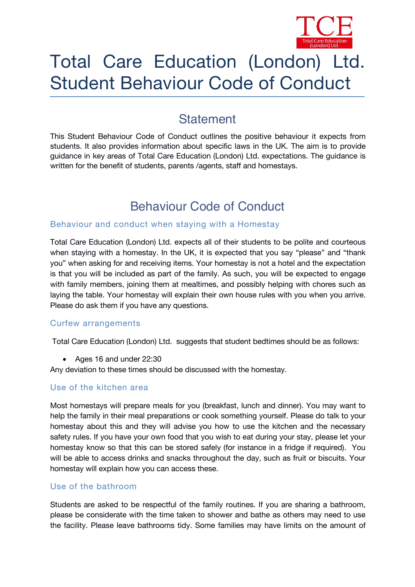

# Total Care Education (London) Ltd. Student Behaviour Code of Conduct

# **Statement**

This Student Behaviour Code of Conduct outlines the positive behaviour it expects from students. It also provides information about specific laws in the UK. The aim is to provide guidance in key areas of Total Care Education (London) Ltd. expectations. The guidance is written for the benefit of students, parents /agents, staff and homestays.

# **Behaviour Code of Conduct**

#### Behaviour and conduct when staying with a Homestay

Total Care Education (London) Ltd. expects all of their students to be polite and courteous when staying with a homestay. In the UK, it is expected that you say "please" and "thank you" when asking for and receiving items. Your homestay is not a hotel and the expectation is that you will be included as part of the family. As such, you will be expected to engage with family members, joining them at mealtimes, and possibly helping with chores such as laying the table. Your homestay will explain their own house rules with you when you arrive. Please do ask them if you have any questions.

#### Curfew arrangements

Total Care Education (London) Ltd. suggests that student bedtimes should be as follows:

Ages *16* and under *22:30*

Any deviation to these times should be discussed with the homestay.

### Use of the kitchen area

Most homestays will prepare meals for you (breakfast, lunch and dinner). You may want to help the family in their meal preparations or cook something yourself. Please do talk to your homestay about this and they will advise you how to use the kitchen and the necessary safety rules. If you have your own food that you wish to eat during your stay, please let your homestay know so that this can be stored safely (for instance in a fridge if required). You will be able to access drinks and snacks throughout the day, such as fruit or biscuits. Your homestay will explain how you can access these.

### Use of the bathroom

Students are asked to be respectful of the family routines. If you are sharing a bathroom, please be considerate with the time taken to shower and bathe as others may need to use the facility. Please leave bathrooms tidy. Some families may have limits on the amount of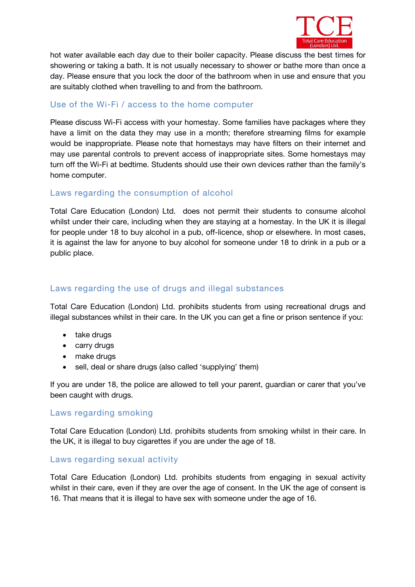

hot water available each day due to their boiler capacity. Please discuss the best times for showering or taking a bath. It is not usually necessary to shower or bathe more than once a day. Please ensure that you lock the door of the bathroom when in use and ensure that you are suitably clothed when travelling to and from the bathroom.

### Use of the Wi-Fi / access to the home computer

Please discuss Wi-Fi access with your homestay. Some families have packages where they have a limit on the data they may use in a month; therefore streaming films for example would be inappropriate. Please note that homestays may have filters on their internet and may use parental controls to prevent access of inappropriate sites. Some homestays may turn off the Wi-Fi at bedtime. Students should use their own devices rather than the family's home computer.

#### Laws regarding the consumption of alcohol

Total Care Education (London) Ltd. does not permit their students to consume alcohol whilst under their care, including when they are staying at a homestay. In the UK it is illegal for people under 18 to buy alcohol in a pub, off-licence, shop or elsewhere. In most cases, it is against the law for anyone to buy alcohol for someone under 18 to drink in a pub or a public place.

## Laws regarding the use of drugs and illegal substances

Total Care Education (London) Ltd. prohibits students from using recreational drugs and illegal substances whilst in their care. In the UK you can get a fine or prison sentence if you:

- take drugs
- carry drugs
- make drugs
- sell, deal or share drugs (also called 'supplying' them)

If you are under 18, the police are allowed to tell your parent, guardian or carer that you've been caught with drugs.

#### Laws regarding smoking

Total Care Education (London) Ltd. prohibits students from smoking whilst in their care. In the UK, it is illegal to buy cigarettes if you are under the age of 18.

#### Laws regarding sexual activity

Total Care Education (London) Ltd. prohibits students from engaging in sexual activity whilst in their care, even if they are over the age of consent. In the UK the age of consent is 16. That means that it is illegal to have sex with someone under the age of 16.